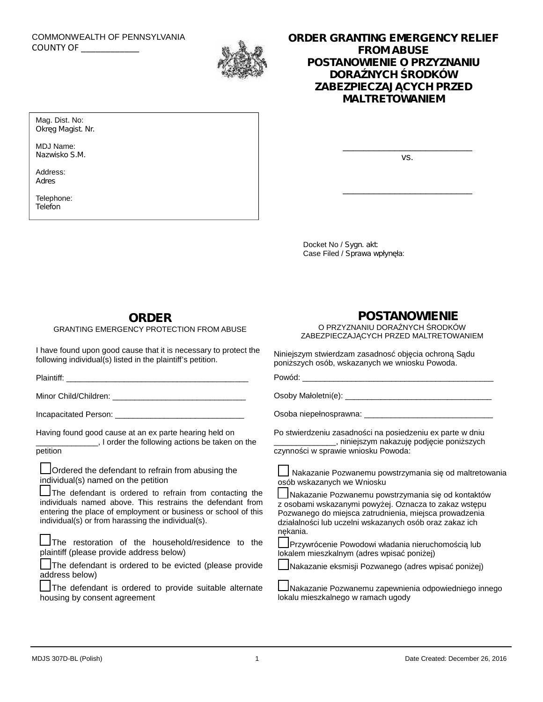# COMMONWEALTH OF PENNSYLVANIA



### COMMONWEALTH OF PENNSYLVANIA<br>COUNTY OF **COUNTY OF COUNTY OF FROM ABUSE** *POSTANOWIENIE O PRZYZNANIU DORA NYCH RODKÓW ZABEZPIECZAJĄCYCH PRZED MALTRETOWANIEM*

Mag. Dist. No: *Okręg Magist. Nr.*

MDJ Name: *Nazwisko S.M.*

Address: *Adres*

Telephone: *Telefon*

vs.

\_\_\_\_\_\_\_\_\_\_\_\_\_\_\_\_\_\_\_\_\_\_\_\_\_

\_\_\_\_\_\_\_\_\_\_\_\_\_\_\_\_\_\_\_\_\_\_\_\_\_

Docket No / *Sygn. akt*: Case Filed / *Sprawa wpłyn ła*:

## **ORDER**

### GRANTING EMERGENCY PROTECTION FROM ABUSE

I have found upon good cause that it is necessary to protect the following individual(s) listed in the plaintiff's petition.

Plaintiff: \_\_\_\_\_\_\_\_\_\_\_\_\_\_\_\_\_\_\_\_\_\_\_\_\_\_\_\_\_\_\_\_\_\_\_\_\_\_\_\_\_

Minor Child/Children: \_\_\_\_\_\_\_\_\_\_\_\_\_\_\_\_\_\_\_\_\_\_\_\_\_\_\_\_\_\_

Incapacitated Person: \_\_\_\_\_\_\_\_\_\_\_\_\_\_\_\_\_\_\_\_\_\_\_\_\_\_\_\_\_

Having found good cause at an ex parte hearing held on

I order the following actions be taken on the petition

**Ordered the defendant to refrain from abusing the** individual(s) named on the petition

**The defendant is ordered to refrain from contacting the** individuals named above. This restrains the defendant from entering the place of employment or business or school of this individual(s) or from harassing the individual(s).

**Let** The restoration of the household/residence to the plaintiff (please provide address below)

The defendant is ordered to be evicted (please provide address below)

The defendant is ordered to provide suitable alternate housing by consent agreement

# **POSTANOWIENIE**

O PRZYZNANIU DORA NYCH RODKÓW ZABEZPIECZAJ CYCH PRZED MALTRETOWANIEM

Niniejszym stwierdzam zasadnos, obj. cia ochronę Sądu poni szych osób, wskazanych we wniosku Powoda.

Powód: \_\_\_\_\_\_\_\_\_\_\_\_\_\_\_\_\_\_\_\_\_\_\_\_\_\_\_\_\_\_\_\_\_\_\_\_\_\_\_\_\_\_\_

Osoby Małoletni(e): \_\_\_\_\_\_\_\_\_\_\_\_\_\_\_\_\_\_\_\_\_\_\_\_\_\_\_\_\_\_\_\_\_

Osoba niepełnosprawna:

Po stwierdzeniu zasadno ci na posiedzeniu ex parte w dniu \_\_\_\_\_\_, niniejszym nakazuj podj cie poni szych czynno ci w sprawie wniosku Powoda:



Nakazanie Pozwanemu powstrzymania się od kontaktów z osobami wskazanymi powy ej. Oznacza to zakaz wstępu Pozwanego do miejsca zatrudnienia, miejsca prowadzenia działalno ci lub uczelni wskazanych osób oraz zakaz ich n kania.

Przywrócenie Powodowi władania nieruchomo ci lub lokalem mieszkalnym (adres wpisa poni ej)

L Nakazanie eksmisji Pozwanego (adres wpisa poni ej)

Nakazanie Pozwanemu zapewnienia odpowiedniego innego lokalu mieszkalnego w ramach ugody